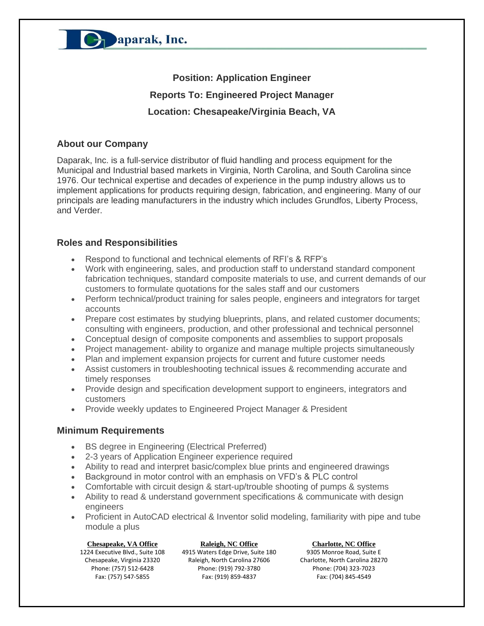

**Position: Application Engineer Reports To: Engineered Project Manager Location: Chesapeake/Virginia Beach, VA**

### **About our Company**

Daparak, Inc. is a full-service distributor of fluid handling and process equipment for the Municipal and Industrial based markets in Virginia, North Carolina, and South Carolina since 1976. Our technical expertise and decades of experience in the pump industry allows us to implement applications for products requiring design, fabrication, and engineering. Many of our principals are leading manufacturers in the industry which includes Grundfos, Liberty Process, and Verder.

### **Roles and Responsibilities**

- Respond to functional and technical elements of RFI's & RFP's
- Work with engineering, sales, and production staff to understand standard component fabrication techniques, standard composite materials to use, and current demands of our customers to formulate quotations for the sales staff and our customers
- Perform technical/product training for sales people, engineers and integrators for target accounts
- Prepare cost estimates by studying blueprints, plans, and related customer documents; consulting with engineers, production, and other professional and technical personnel
- Conceptual design of composite components and assemblies to support proposals
- Project management- ability to organize and manage multiple projects simultaneously
- Plan and implement expansion projects for current and future customer needs
- Assist customers in troubleshooting technical issues & recommending accurate and timely responses
- Provide design and specification development support to engineers, integrators and customers
- Provide weekly updates to Engineered Project Manager & President

## **Minimum Requirements**

- BS degree in Engineering (Electrical Preferred)
- 2-3 years of Application Engineer experience required
- Ability to read and interpret basic/complex blue prints and engineered drawings
- Background in motor control with an emphasis on VFD's & PLC control
- Comfortable with circuit design & start-up/trouble shooting of pumps & systems
- Ability to read & understand government specifications & communicate with design engineers
- Proficient in AutoCAD electrical & Inventor solid modeling, familiarity with pipe and tube module a plus

**Chesapeake, VA Office Raleigh, NC Office Charlotte, NC Office** Phone: (757) 512-6428 Fax: (757) 547-5855

1224 Executive Blvd., Suite 108 4915 Waters Edge Drive, Suite 180 Chesapeake, Virginia 23320 Raleigh, North Carolina 27606 Phone: (919) 792-3780 Fax: (919) 859-4837

9305 Monroe Road, Suite E 9305 Monroe Road, Suite E<br>Charlotte, North Carolina 28270 Phone: (704) 323-7023 Fax: (704) 845-4549